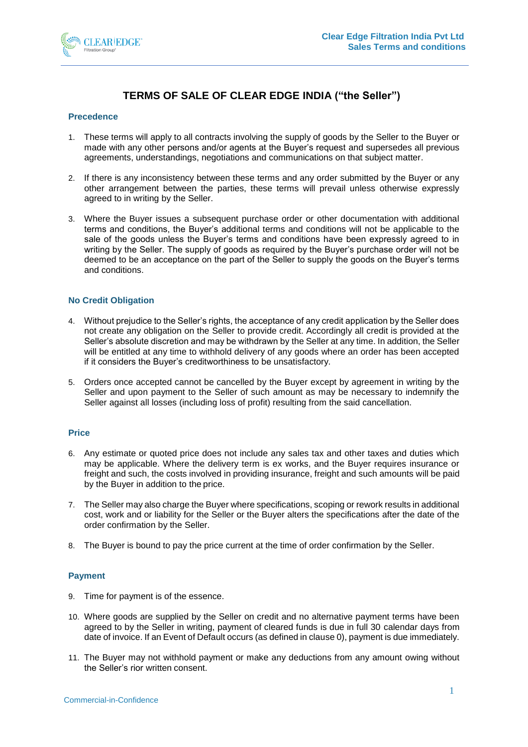

# **TERMS OF SALE OF CLEAR EDGE INDIA ("the Seller")**

#### **Precedence**

- 1. These terms will apply to all contracts involving the supply of goods by the Seller to the Buyer or made with any other persons and/or agents at the Buyer's request and supersedes all previous agreements, understandings, negotiations and communications on that subject matter.
- 2. If there is any inconsistency between these terms and any order submitted by the Buyer or any other arrangement between the parties, these terms will prevail unless otherwise expressly agreed to in writing by the Seller.
- 3. Where the Buyer issues a subsequent purchase order or other documentation with additional terms and conditions, the Buyer's additional terms and conditions will not be applicable to the sale of the goods unless the Buyer's terms and conditions have been expressly agreed to in writing by the Seller. The supply of goods as required by the Buyer's purchase order will not be deemed to be an acceptance on the part of the Seller to supply the goods on the Buyer's terms and conditions.

#### **No Credit Obligation**

- 4. Without prejudice to the Seller's rights, the acceptance of any credit application by the Seller does not create any obligation on the Seller to provide credit. Accordingly all credit is provided at the Seller's absolute discretion and may be withdrawn by the Seller at any time. In addition, the Seller will be entitled at any time to withhold delivery of any goods where an order has been accepted if it considers the Buyer's creditworthiness to be unsatisfactory.
- 5. Orders once accepted cannot be cancelled by the Buyer except by agreement in writing by the Seller and upon payment to the Seller of such amount as may be necessary to indemnify the Seller against all losses (including loss of profit) resulting from the said cancellation.

#### **Price**

- 6. Any estimate or quoted price does not include any sales tax and other taxes and duties which may be applicable. Where the delivery term is ex works, and the Buyer requires insurance or freight and such, the costs involved in providing insurance, freight and such amounts will be paid by the Buyer in addition to the price.
- 7. The Seller may also charge the Buyer where specifications, scoping or rework results in additional cost, work and or liability for the Seller or the Buyer alters the specifications after the date of the order confirmation by the Seller.
- 8. The Buyer is bound to pay the price current at the time of order confirmation by the Seller.

# **Payment**

- 9. Time for payment is of the essence.
- 10. Where goods are supplied by the Seller on credit and no alternative payment terms have been agreed to by the Seller in writing, payment of cleared funds is due in full 30 calendar days from date of invoice. If an Event of Default occurs (as defined in claus[e 0\)](#page-3-0), payment is due immediately.
- 11. The Buyer may not withhold payment or make any deductions from any amount owing without the Seller's rior written consent.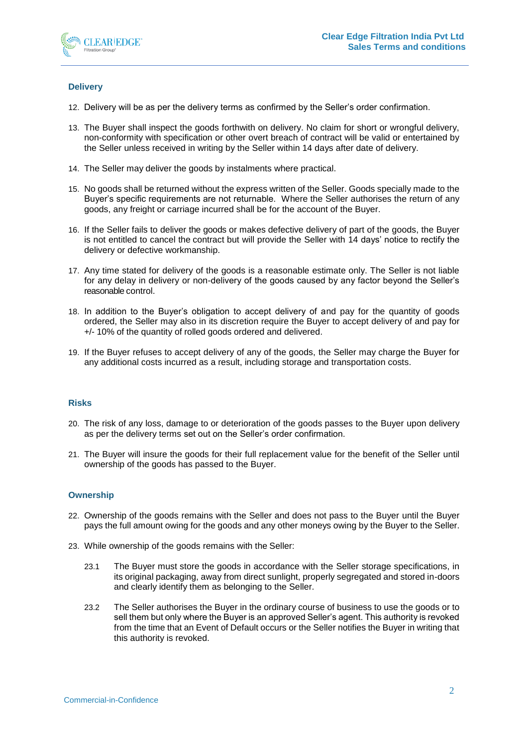

# **Delivery**

- 12. Delivery will be as per the delivery terms as confirmed by the Seller's order confirmation.
- 13. The Buyer shall inspect the goods forthwith on delivery. No claim for short or wrongful delivery, non-conformity with specification or other overt breach of contract will be valid or entertained by the Seller unless received in writing by the Seller within 14 days after date of delivery.
- 14. The Seller may deliver the goods by instalments where practical.
- 15. No goods shall be returned without the express written of the Seller. Goods specially made to the Buyer's specific requirements are not returnable. Where the Seller authorises the return of any goods, any freight or carriage incurred shall be for the account of the Buyer.
- 16. If the Seller fails to deliver the goods or makes defective delivery of part of the goods, the Buyer is not entitled to cancel the contract but will provide the Seller with 14 days' notice to rectify the delivery or defective workmanship.
- 17. Any time stated for delivery of the goods is a reasonable estimate only. The Seller is not liable for any delay in delivery or non-delivery of the goods caused by any factor beyond the Seller's reasonable control.
- 18. In addition to the Buyer's obligation to accept delivery of and pay for the quantity of goods ordered, the Seller may also in its discretion require the Buyer to accept delivery of and pay for +/- 10% of the quantity of rolled goods ordered and delivered.
- 19. If the Buyer refuses to accept delivery of any of the goods, the Seller may charge the Buyer for any additional costs incurred as a result, including storage and transportation costs.

#### **Risks**

- 20. The risk of any loss, damage to or deterioration of the goods passes to the Buyer upon delivery as per the delivery terms set out on the Seller's order confirmation.
- 21. The Buyer will insure the goods for their full replacement value for the benefit of the Seller until ownership of the goods has passed to the Buyer.

#### **Ownership**

- 22. Ownership of the goods remains with the Seller and does not pass to the Buyer until the Buyer pays the full amount owing for the goods and any other moneys owing by the Buyer to the Seller.
- 23. While ownership of the goods remains with the Seller:
	- 23.1 The Buyer must store the goods in accordance with the Seller storage specifications, in its original packaging, away from direct sunlight, properly segregated and stored in-doors and clearly identify them as belonging to the Seller.
	- 23.2 The Seller authorises the Buyer in the ordinary course of business to use the goods or to sell them but only where the Buyer is an approved Seller's agent. This authority is revoked from the time that an Event of Default occurs or the Seller notifies the Buyer in writing that this authority is revoked.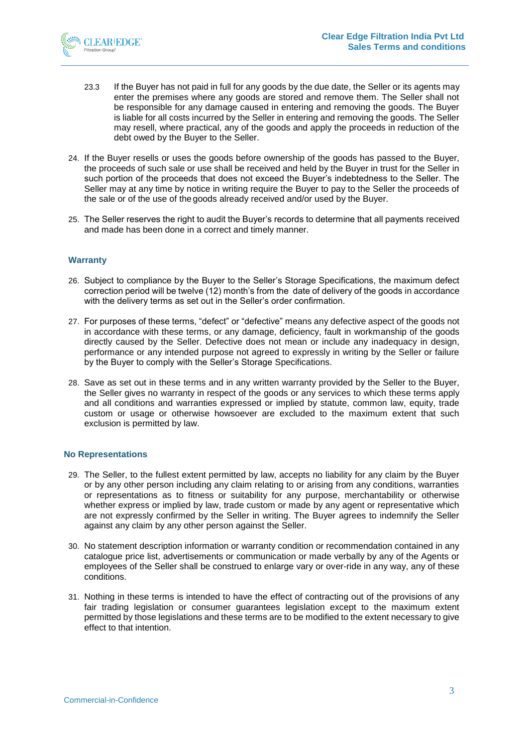

- 23.3 If the Buyer has not paid in full for any goods by the due date, the Seller or its agents may enter the premises where any goods are stored and remove them. The Seller shall not be responsible for any damage caused in entering and removing the goods. The Buyer is liable for all costs incurred by the Seller in entering and removing the goods. The Seller may resell, where practical, any of the goods and apply the proceeds in reduction of the debt owed by the Buyer to the Seller.
- 24. If the Buyer resells or uses the goods before ownership of the goods has passed to the Buyer, the proceeds of such sale or use shall be received and held by the Buyer in trust for the Seller in such portion of the proceeds that does not exceed the Buyer's indebtedness to the Seller. The Seller may at any time by notice in writing require the Buyer to pay to the Seller the proceeds of the sale or of the use of the goods already received and/or used by the Buyer.
- 25. The Seller reserves the right to audit the Buyer's records to determine that all payments received and made has been done in a correct and timely manner.

#### **Warranty**

- 26. Subject to compliance by the Buyer to the Seller's Storage Specifications, the maximum defect correction period will be twelve (12) month's from the date of delivery of the goods in accordance with the delivery terms as set out in the Seller's order confirmation.
- 27. For purposes of these terms, "defect" or "defective" means any defective aspect of the goods not in accordance with these terms, or any damage, deficiency, fault in workmanship of the goods directly caused by the Seller. Defective does not mean or include any inadequacy in design, performance or any intended purpose not agreed to expressly in writing by the Seller or failure by the Buyer to comply with the Seller's Storage Specifications.
- 28. Save as set out in these terms and in any written warranty provided by the Seller to the Buyer, the Seller gives no warranty in respect of the goods or any services to which these terms apply and all conditions and warranties expressed or implied by statute, common law, equity, trade custom or usage or otherwise howsoever are excluded to the maximum extent that such exclusion is permitted by law.

#### **No Representations**

- 29. The Seller, to the fullest extent permitted by law, accepts no liability for any claim by the Buyer or by any other person including any claim relating to or arising from any conditions, warranties or representations as to fitness or suitability for any purpose, merchantability or otherwise whether express or implied by law, trade custom or made by any agent or representative which are not expressly confirmed by the Seller in writing. The Buyer agrees to indemnify the Seller against any claim by any other person against the Seller.
- 30. No statement description information or warranty condition or recommendation contained in any catalogue price list, advertisements or communication or made verbally by any of the Agents or employees of the Seller shall be construed to enlarge vary or over-ride in any way, any of these conditions.
- 31. Nothing in these terms is intended to have the effect of contracting out of the provisions of any fair trading legislation or consumer guarantees legislation except to the maximum extent permitted by those legislations and these terms are to be modified to the extent necessary to give effect to that intention.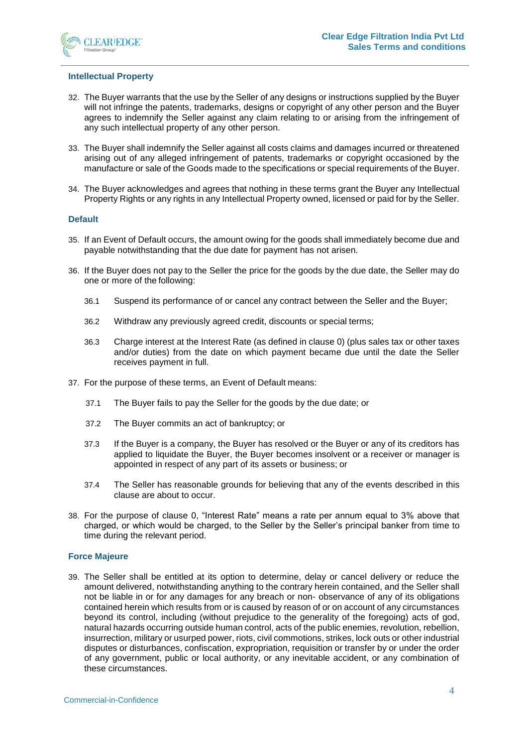

#### **Intellectual Property**

- 32. The Buyer warrants that the use by the Seller of any designs or instructions supplied by the Buyer will not infringe the patents, trademarks, designs or copyright of any other person and the Buyer agrees to indemnify the Seller against any claim relating to or arising from the infringement of any such intellectual property of any other person.
- 33. The Buyer shall indemnify the Seller against all costs claims and damages incurred or threatened arising out of any alleged infringement of patents, trademarks or copyright occasioned by the manufacture or sale of the Goods made to the specifications or special requirements of the Buyer.
- 34. The Buyer acknowledges and agrees that nothing in these terms grant the Buyer any Intellectual Property Rights or any rights in any Intellectual Property owned, licensed or paid for by the Seller.

#### **Default**

- <span id="page-3-0"></span>35. If an Event of Default occurs, the amount owing for the goods shall immediately become due and payable notwithstanding that the due date for payment has not arisen.
- <span id="page-3-2"></span>36. If the Buyer does not pay to the Seller the price for the goods by the due date, the Seller may do one or more of the following:
	- 36.1 Suspend its performance of or cancel any contract between the Seller and the Buyer;
	- 36.2 Withdraw any previously agreed credit, discounts or special terms;
	- 36.3 Charge interest at the Interest Rate (as defined in clause [0\)](#page-3-1) (plus sales tax or other taxes and/or duties) from the date on which payment became due until the date the Seller receives payment in full.
- 37. For the purpose of these terms, an Event of Default means:
	- 37.1 The Buyer fails to pay the Seller for the goods by the due date; or
	- 37.2 The Buyer commits an act of bankruptcy; or
	- 37.3 If the Buyer is a company, the Buyer has resolved or the Buyer or any of its creditors has applied to liquidate the Buyer, the Buyer becomes insolvent or a receiver or manager is appointed in respect of any part of its assets or business; or
	- 37.4 The Seller has reasonable grounds for believing that any of the events described in this clause are about to occur.
- <span id="page-3-1"></span>38. For the purpose of clause [0,](#page-3-2) "Interest Rate" means a rate per annum equal to 3% above that charged, or which would be charged, to the Seller by the Seller's principal banker from time to time during the relevant period.

#### **Force Majeure**

39. The Seller shall be entitled at its option to determine, delay or cancel delivery or reduce the amount delivered, notwithstanding anything to the contrary herein contained, and the Seller shall not be liable in or for any damages for any breach or non- observance of any of its obligations contained herein which results from or is caused by reason of or on account of any circumstances beyond its control, including (without prejudice to the generality of the foregoing) acts of god, natural hazards occurring outside human control, acts of the public enemies, revolution, rebellion, insurrection, military or usurped power, riots, civil commotions, strikes, lock outs or other industrial disputes or disturbances, confiscation, expropriation, requisition or transfer by or under the order of any government, public or local authority, or any inevitable accident, or any combination of these circumstances.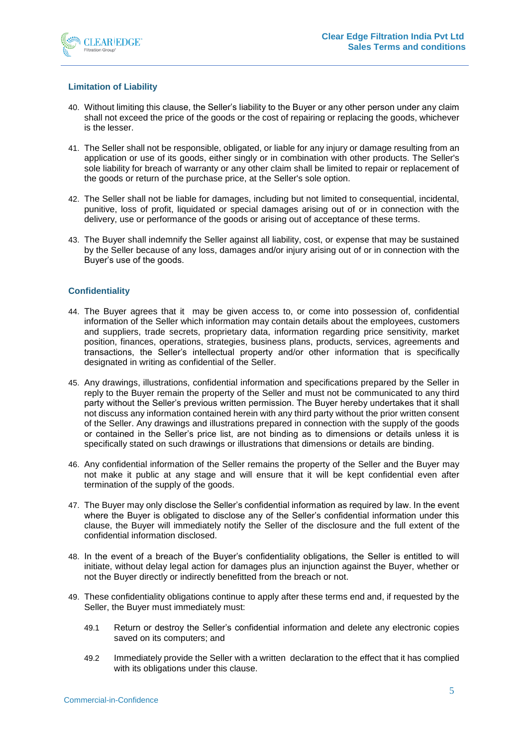

## **Limitation of Liability**

- 40. Without limiting this clause, the Seller's liability to the Buyer or any other person under any claim shall not exceed the price of the goods or the cost of repairing or replacing the goods, whichever is the lesser.
- 41. The Seller shall not be responsible, obligated, or liable for any injury or damage resulting from an application or use of its goods, either singly or in combination with other products. The Seller's sole liability for breach of warranty or any other claim shall be limited to repair or replacement of the goods or return of the purchase price, at the Seller's sole option.
- 42. The Seller shall not be liable for damages, including but not limited to consequential, incidental, punitive, loss of profit, liquidated or special damages arising out of or in connection with the delivery, use or performance of the goods or arising out of acceptance of these terms.
- 43. The Buyer shall indemnify the Seller against all liability, cost, or expense that may be sustained by the Seller because of any loss, damages and/or injury arising out of or in connection with the Buyer's use of the goods.

#### **Confidentiality**

- 44. The Buyer agrees that it may be given access to, or come into possession of, confidential information of the Seller which information may contain details about the employees, customers and suppliers, trade secrets, proprietary data, information regarding price sensitivity, market position, finances, operations, strategies, business plans, products, services, agreements and transactions, the Seller's intellectual property and/or other information that is specifically designated in writing as confidential of the Seller.
- 45. Any drawings, illustrations, confidential information and specifications prepared by the Seller in reply to the Buyer remain the property of the Seller and must not be communicated to any third party without the Seller's previous written permission. The Buyer hereby undertakes that it shall not discuss any information contained herein with any third party without the prior written consent of the Seller. Any drawings and illustrations prepared in connection with the supply of the goods or contained in the Seller's price list, are not binding as to dimensions or details unless it is specifically stated on such drawings or illustrations that dimensions or details are binding.
- 46. Any confidential information of the Seller remains the property of the Seller and the Buyer may not make it public at any stage and will ensure that it will be kept confidential even after termination of the supply of the goods.
- 47. The Buyer may only disclose the Seller's confidential information as required by law. In the event where the Buyer is obligated to disclose any of the Seller's confidential information under this clause, the Buyer will immediately notify the Seller of the disclosure and the full extent of the confidential information disclosed.
- 48. In the event of a breach of the Buyer's confidentiality obligations, the Seller is entitled to will initiate, without delay legal action for damages plus an injunction against the Buyer, whether or not the Buyer directly or indirectly benefitted from the breach or not.
- 49. These confidentiality obligations continue to apply after these terms end and, if requested by the Seller, the Buyer must immediately must:
	- 49.1 Return or destroy the Seller's confidential information and delete any electronic copies saved on its computers; and
	- 49.2 Immediately provide the Seller with a written declaration to the effect that it has complied with its obligations under this clause.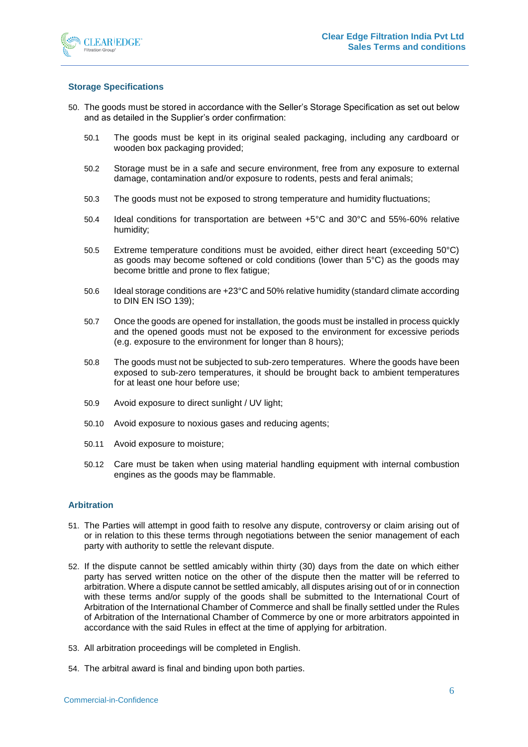

## **Storage Specifications**

- 50. The goods must be stored in accordance with the Seller's Storage Specification as set out below and as detailed in the Supplier's order confirmation:
	- 50.1 The goods must be kept in its original sealed packaging, including any cardboard or wooden box packaging provided;
	- 50.2 Storage must be in a safe and secure environment, free from any exposure to external damage, contamination and/or exposure to rodents, pests and feral animals;
	- 50.3 The goods must not be exposed to strong temperature and humidity fluctuations;
	- 50.4 Ideal conditions for transportation are between +5°C and 30°C and 55%-60% relative humidity;
	- 50.5 Extreme temperature conditions must be avoided, either direct heart (exceeding 50°C) as goods may become softened or cold conditions (lower than 5°C) as the goods may become brittle and prone to flex fatigue;
	- 50.6 Ideal storage conditions are +23°C and 50% relative humidity (standard climate according to DIN EN ISO 139);
	- 50.7 Once the goods are opened for installation, the goods must be installed in process quickly and the opened goods must not be exposed to the environment for excessive periods (e.g. exposure to the environment for longer than 8 hours);
	- 50.8 The goods must not be subjected to sub-zero temperatures. Where the goods have been exposed to sub-zero temperatures, it should be brought back to ambient temperatures for at least one hour before use;
	- 50.9 Avoid exposure to direct sunlight / UV light;
	- 50.10 Avoid exposure to noxious gases and reducing agents;
	- 50.11 Avoid exposure to moisture;
	- 50.12 Care must be taken when using material handling equipment with internal combustion engines as the goods may be flammable.

#### **Arbitration**

- 51. The Parties will attempt in good faith to resolve any dispute, controversy or claim arising out of or in relation to this these terms through negotiations between the senior management of each party with authority to settle the relevant dispute.
- 52. If the dispute cannot be settled amicably within thirty (30) days from the date on which either party has served written notice on the other of the dispute then the matter will be referred to arbitration. Where a dispute cannot be settled amicably, all disputes arising out of or in connection with these terms and/or supply of the goods shall be submitted to the International Court of Arbitration of the International Chamber of Commerce and shall be finally settled under the Rules of Arbitration of the International Chamber of Commerce by one or more arbitrators appointed in accordance with the said Rules in effect at the time of applying for arbitration.
- 53. All arbitration proceedings will be completed in English.
- 54. The arbitral award is final and binding upon both parties.